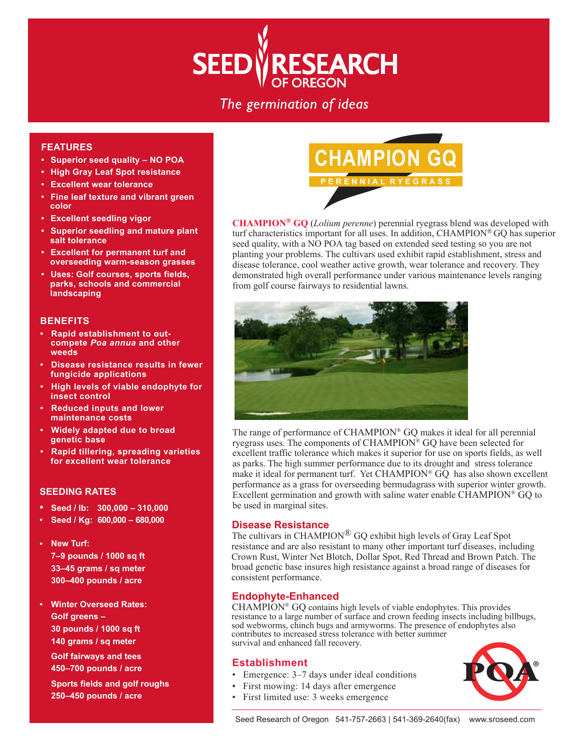# **SEARCH SEED**

## The germination of ideas

#### **FEATURES**

- **• Superior seed quality – NO POA**
- **• High Gray Leaf Spot resistance**
- **• Excellent wear tolerance**
- **• Fine leaf texture and vibrant green color**
- **• Excellent seedling vigor**
- **• Superior seedling and mature plant salt tolerance**
- **• Excellent for permanent turf and overseeding warm-season grasses**
- **• Uses: Golf courses, sports fields, parks, schools and commercial landscaping**

#### **BENEFITS**

- **• Rapid establishment to outcompete** *Poa annua* **and other weeds**
- **• Disease resistance results in fewer fungicide applications**
- **• High levels of viable endophyte for insect control**
- **• Reduced inputs and lower maintenance costs**
- **• Widely adapted due to broad genetic base**
- **• Rapid tillering, spreading varieties for excellent wear tolerance**

#### **SEEDING RATES**

- **• Seed / lb: 300,000 310,000**
- **• Seed / Kg: 600,000 680,000**
- **• New Turf: 7–9 pounds / 1000 sq ft 33–45 grams / sq meter 300–400 pounds / acre**
- **• Winter Overseed Rates: Golf greens – 30 pounds / 1000 sq ft 140 grams / sq meter**

**Golf fairways and tees 450–700 pounds / acre**

**Sports fields and golf roughs 250–450 pounds / acre**



demonstrated high overall performance under various maintenance levels ranging from golf course fairways to residential lawns. **CHAMPION® GQ** (*Lolium perenne*) perennial ryegrass blend was developed with turf characteristics important for all uses. In addition, CHAMPION® GQ has superior seed quality, with a NO POA tag based on extended seed testing so you are not planting your problems. The cultivars used exhibit rapid establishment, stress and disease tolerance, cool weather active growth, wear tolerance and recovery. They from golf course fairways to residential lawns.



The range of performance of CHAMPION® GQ makes it ideal for all perennial ryegrass uses. The components of CHAMPION® GQ have been selected for excellent traffic tolerance which makes it superior for use on sports fields, as well as parks. The high summer performance due to its drought and stress tolerance make it ideal for permanent turf. Yet CHAMPION® GQ has also shown excellent performance as a grass for overseeding bermudagrass with superior winter growth. Excellent germination and growth with saline water enable CHAMPION® GQ to be used in marginal sites.

#### **Disease Resistance**

The cultivars in CHAMPION<sup>®</sup> GQ exhibit high levels of Gray Leaf Spot resistance and are also resistant to many other important turf diseases, including Crown Rust, Winter Net Blotch, Dollar Spot, Red Thread and Brown Patch. The broad genetic base insures high resistance against a broad range of diseases for consistent performance.

#### **Endophyte-Enhanced**

CHAMPION® GQ contains high levels of viable endophytes. This provides resistance to a large number of surface and crown feeding insects including billbugs, sod webworms, chinch bugs and armyworms. The presence of endophytes also contributes to increased stress tolerance with better summer survival and enhanced fall recovery.

### **Establishment**

- Emergence: 3–7 days under ideal conditions
- First mowing: 14 days after emergence
- First limited use: 3 weeks emergence